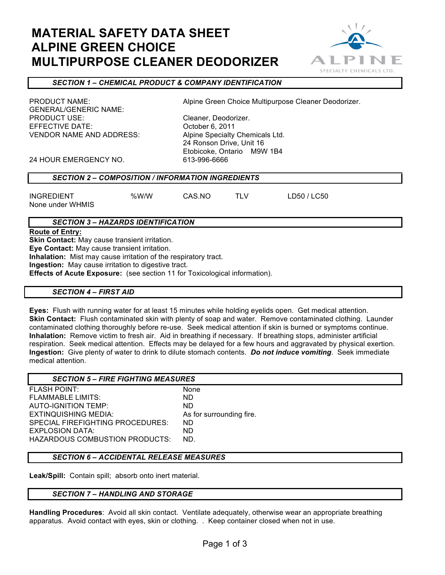# **MATERIAL SAFETY DATA SHEET ALPINE GREEN CHOICE MULTIPURPOSE CLEANER DEODORIZER**



## *SECTION 1 – CHEMICAL PRODUCT & COMPANY IDENTIFICATION*

GENERAL/GENERIC NAME: PRODUCT USE: Cleaner, Deodorizer. EFFECTIVE DATE: October 6, 2011 VENDOR NAME AND ADDRESS: Alpine Specialty Chemicals Ltd.

PRODUCT NAME: Alpine Green Choice Multipurpose Cleaner Deodorizer.

24 Ronson Drive, Unit 16 Etobicoke, Ontario M9W 1B4<br>613-996-6666

24 HOUR EMERGENCY NO.

| <b>SECTION 2 – COMPOSITION / INFORMATION INGREDIENTS</b> |  |
|----------------------------------------------------------|--|
|                                                          |  |

INGREDIENT %W/W CAS.NO TLV LD50 / LC50

None under WHMIS

## *SECTION 3 – HAZARDS IDENTIFICATION*

**Route of Entry:**

**Skin Contact:** May cause transient irritation.

**Eye Contact:** May cause transient irritation.

**Inhalation:** Mist may cause irritation of the respiratory tract.

**Ingestion:** May cause irritation to digestive tract.

**Effects of Acute Exposure:** (see section 11 for Toxicological information).

## *SECTION 4 – FIRST AID*

**Eyes:** Flush with running water for at least 15 minutes while holding eyelids open. Get medical attention. **Skin Contact:** Flush contaminated skin with plenty of soap and water. Remove contaminated clothing. Launder contaminated clothing thoroughly before re-use. Seek medical attention if skin is burned or symptoms continue. **Inhalation:** Remove victim to fresh air. Aid in breathing if necessary. If breathing stops, administer artificial respiration. Seek medical attention. Effects may be delayed for a few hours and aggravated by physical exertion. **Ingestion:** Give plenty of water to drink to dilute stomach contents. *Do not induce vomiting*. Seek immediate medical attention.

| <b>SECTION 5 – FIRE FIGHTING MEASURES</b> |                          |
|-------------------------------------------|--------------------------|
| <b>FLASH POINT:</b>                       | None                     |
| FLAMMABLE LIMITS:                         | ND.                      |
| <b>AUTO-IGNITION TEMP:</b>                | ND.                      |
| EXTINQUISHING MEDIA:                      | As for surrounding fire. |
| SPECIAL FIREFIGHTING PROCEDURES:          | ND.                      |
| EXPLOSION DATA:                           | ND.                      |
| HAZARDOUS COMBUSTION PRODUCTS:            | ND.                      |

## *SECTION 6 – ACCIDENTAL RELEASE MEASURES*

**Leak/Spill:** Contain spill; absorb onto inert material.

## *SECTION 7 – HANDLING AND STORAGE*

**Handling Procedures**: Avoid all skin contact. Ventilate adequately, otherwise wear an appropriate breathing apparatus. Avoid contact with eyes, skin or clothing. . Keep container closed when not in use.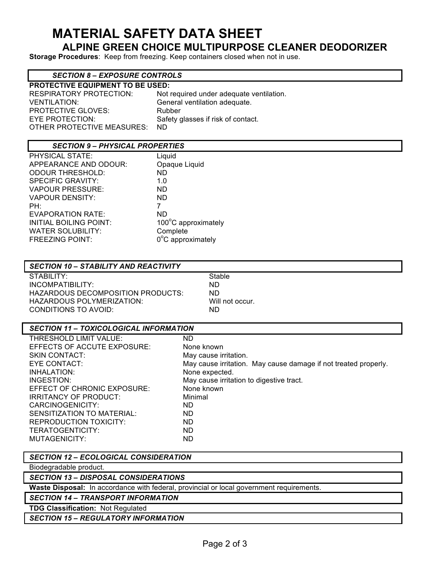# **MATERIAL SAFETY DATA SHEET**

## **ALPINE GREEN CHOICE MULTIPURPOSE CLEANER DEODORIZER**

**Storage Procedures**: Keep from freezing. Keep containers closed when not in use.

### *SECTION 8 – EXPOSURE CONTROLS*

| <b>PROTECTIVE EQUIPMENT TO BE USED:</b> |                                          |  |  |  |
|-----------------------------------------|------------------------------------------|--|--|--|
| <b>RESPIRATORY PROTECTION:</b>          | Not required under adequate ventilation. |  |  |  |
| <b>VENTILATION:</b>                     | General ventilation adequate.            |  |  |  |
| <b>PROTECTIVE GLOVES:</b>               | Rubber                                   |  |  |  |
| EYE PROTECTION:                         | Safety glasses if risk of contact.       |  |  |  |
| OTHER PROTECTIVE MEASURES:              | ND.                                      |  |  |  |

## *SECTION 9 – PHYSICAL PROPERTIES*

| <b>PHYSICAL STATE:</b>        | Liquid                      |
|-------------------------------|-----------------------------|
| APPEARANCE AND ODOUR:         | Opaque Liquid               |
| <b>ODOUR THRESHOLD:</b>       | ND.                         |
| <b>SPECIFIC GRAVITY:</b>      | 1.0                         |
| <b>VAPOUR PRESSURE:</b>       | ND.                         |
| <b>VAPOUR DENSITY:</b>        | ND.                         |
| PH:                           | 7                           |
| <b>EVAPORATION RATE:</b>      | ND.                         |
| <b>INITIAL BOILING POINT:</b> | 100°C approximately         |
| <b>WATER SOLUBILITY:</b>      | Complete                    |
| <b>FREEZING POINT:</b>        | $0^{\circ}$ C approximately |
|                               |                             |

## *SECTION 10 – STABILITY AND REACTIVITY*

STABILITY: Stable INCOMPATIBILITY: ND HAZARDOUS DECOMPOSITION PRODUCTS: ND HAZARDOUS POLYMERIZATION: Will not occur. CONDITIONS TO AVOID: ND

#### *SECTION 11 – TOXICOLOGICAL INFORMATION*

| THRESHOLD LIMIT VALUE:       | ND                                                              |
|------------------------------|-----------------------------------------------------------------|
| EFFECTS OF ACCUTE EXPOSURE:  | None known                                                      |
| <b>SKIN CONTACT:</b>         | May cause irritation.                                           |
| EYE CONTACT:                 | May cause irritation. May cause damage if not treated properly. |
| INHALATION:                  | None expected.                                                  |
| INGESTION:                   | May cause irritation to digestive tract.                        |
| EFFECT OF CHRONIC EXPOSURE:  | None known                                                      |
| <b>IRRITANCY OF PRODUCT:</b> | Minimal                                                         |
| CARCINOGENICITY:             | ND.                                                             |
| SENSITIZATION TO MATERIAL:   | ND.                                                             |
| REPRODUCTION TOXICITY:       | ND.                                                             |
| TERATOGENTICITY:             | ND.                                                             |
| MUTAGENICITY:                | ND                                                              |

*SECTION 12 – ECOLOGICAL CONSIDERATION*

Biodegradable product.

*SECTION 13 – DISPOSAL CONSIDERATIONS*

**Waste Disposal:** In accordance with federal, provincial or local government requirements.

*SECTION 14 – TRANSPORT INFORMATION*

**TDG Classification:** Not Regulated

*SECTION 15 – REGULATORY INFORMATION*